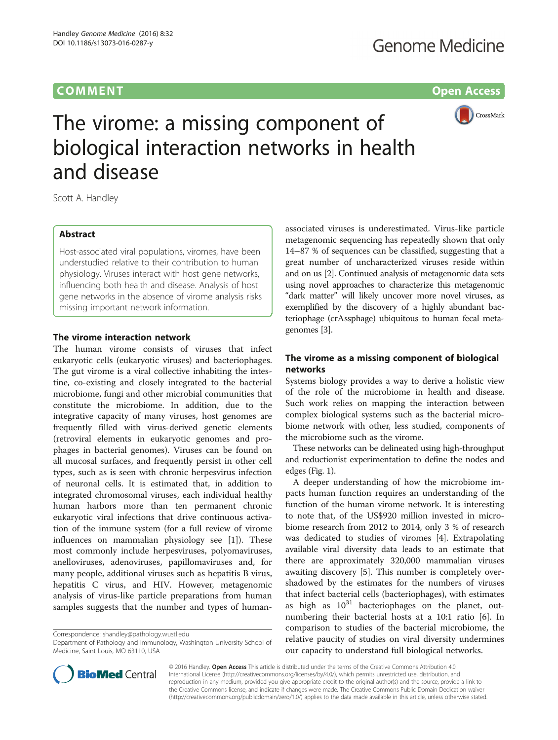# **COMMENT COMMENT COMMENT**



# The virome: a missing component of biological interaction networks in health and disease

Scott A. Handley

# Abstract

Host-associated viral populations, viromes, have been understudied relative to their contribution to human physiology. Viruses interact with host gene networks, influencing both health and disease. Analysis of host gene networks in the absence of virome analysis risks missing important network information.

### The virome interaction network

The human virome consists of viruses that infect eukaryotic cells (eukaryotic viruses) and bacteriophages. The gut virome is a viral collective inhabiting the intestine, co-existing and closely integrated to the bacterial microbiome, fungi and other microbial communities that constitute the microbiome. In addition, due to the integrative capacity of many viruses, host genomes are frequently filled with virus-derived genetic elements (retroviral elements in eukaryotic genomes and prophages in bacterial genomes). Viruses can be found on all mucosal surfaces, and frequently persist in other cell types, such as is seen with chronic herpesvirus infection of neuronal cells. It is estimated that, in addition to integrated chromosomal viruses, each individual healthy human harbors more than ten permanent chronic eukaryotic viral infections that drive continuous activation of the immune system (for a full review of virome influences on mammalian physiology see [[1](#page-2-0)]). These most commonly include herpesviruses, polyomaviruses, anelloviruses, adenoviruses, papillomaviruses and, for many people, additional viruses such as hepatitis B virus, hepatitis C virus, and HIV. However, metagenomic analysis of virus-like particle preparations from human samples suggests that the number and types of human-

Correspondence: [shandley@pathology.wustl.edu](mailto:shandley@pathology.wustl.edu)



# The virome as a missing component of biological networks

Systems biology provides a way to derive a holistic view of the role of the microbiome in health and disease. Such work relies on mapping the interaction between complex biological systems such as the bacterial microbiome network with other, less studied, components of the microbiome such as the virome.

These networks can be delineated using high-throughput and reductionist experimentation to define the nodes and edges (Fig. [1](#page-1-0)).

A deeper understanding of how the microbiome impacts human function requires an understanding of the function of the human virome network. It is interesting to note that, of the US\$920 million invested in microbiome research from 2012 to 2014, only 3 % of research was dedicated to studies of viromes [[4\]](#page-2-0). Extrapolating available viral diversity data leads to an estimate that there are approximately 320,000 mammalian viruses awaiting discovery [\[5](#page-2-0)]. This number is completely overshadowed by the estimates for the numbers of viruses that infect bacterial cells (bacteriophages), with estimates as high as  $10^{31}$  bacteriophages on the planet, outnumbering their bacterial hosts at a 10:1 ratio [[6\]](#page-2-0). In comparison to studies of the bacterial microbiome, the relative paucity of studies on viral diversity undermines our capacity to understand full biological networks.



© 2016 Handley. Open Access This article is distributed under the terms of the Creative Commons Attribution 4.0 International License [\(http://creativecommons.org/licenses/by/4.0/](http://creativecommons.org/licenses/by/4.0/)), which permits unrestricted use, distribution, and reproduction in any medium, provided you give appropriate credit to the original author(s) and the source, provide a link to the Creative Commons license, and indicate if changes were made. The Creative Commons Public Domain Dedication waiver [\(http://creativecommons.org/publicdomain/zero/1.0/](http://creativecommons.org/publicdomain/zero/1.0/)) applies to the data made available in this article, unless otherwise stated.

Department of Pathology and Immunology, Washington University School of Medicine, Saint Louis, MO 63110, USA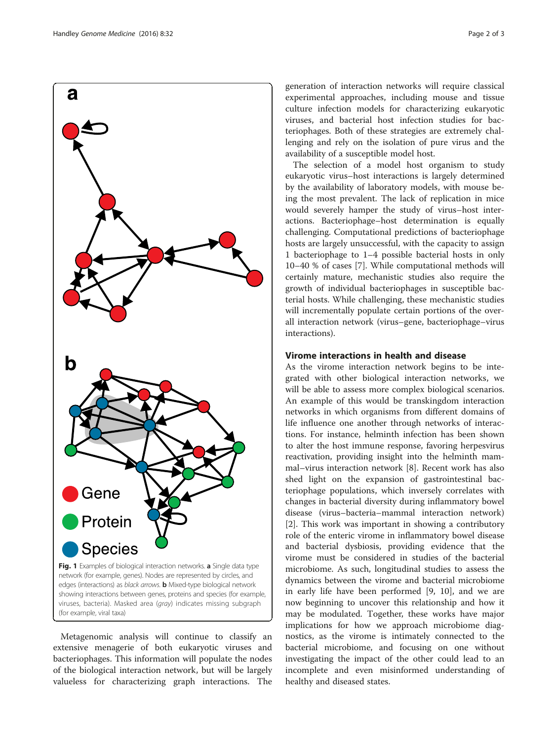<span id="page-1-0"></span>

Metagenomic analysis will continue to classify an extensive menagerie of both eukaryotic viruses and bacteriophages. This information will populate the nodes of the biological interaction network, but will be largely valueless for characterizing graph interactions. The

generation of interaction networks will require classical experimental approaches, including mouse and tissue culture infection models for characterizing eukaryotic viruses, and bacterial host infection studies for bacteriophages. Both of these strategies are extremely challenging and rely on the isolation of pure virus and the availability of a susceptible model host.

The selection of a model host organism to study eukaryotic virus–host interactions is largely determined by the availability of laboratory models, with mouse being the most prevalent. The lack of replication in mice would severely hamper the study of virus–host interactions. Bacteriophage–host determination is equally challenging. Computational predictions of bacteriophage hosts are largely unsuccessful, with the capacity to assign 1 bacteriophage to 1–4 possible bacterial hosts in only 10–40 % of cases [[7\]](#page-2-0). While computational methods will certainly mature, mechanistic studies also require the growth of individual bacteriophages in susceptible bacterial hosts. While challenging, these mechanistic studies will incrementally populate certain portions of the overall interaction network (virus–gene, bacteriophage–virus interactions).

#### Virome interactions in health and disease

As the virome interaction network begins to be integrated with other biological interaction networks, we will be able to assess more complex biological scenarios. An example of this would be transkingdom interaction networks in which organisms from different domains of life influence one another through networks of interactions. For instance, helminth infection has been shown to alter the host immune response, favoring herpesvirus reactivation, providing insight into the helminth mammal–virus interaction network [[8\]](#page-2-0). Recent work has also shed light on the expansion of gastrointestinal bacteriophage populations, which inversely correlates with changes in bacterial diversity during inflammatory bowel disease (virus–bacteria–mammal interaction network) [[2\]](#page-2-0). This work was important in showing a contributory role of the enteric virome in inflammatory bowel disease and bacterial dysbiosis, providing evidence that the virome must be considered in studies of the bacterial microbiome. As such, longitudinal studies to assess the dynamics between the virome and bacterial microbiome in early life have been performed [[9, 10\]](#page-2-0), and we are now beginning to uncover this relationship and how it may be modulated. Together, these works have major implications for how we approach microbiome diagnostics, as the virome is intimately connected to the bacterial microbiome, and focusing on one without investigating the impact of the other could lead to an incomplete and even misinformed understanding of healthy and diseased states.